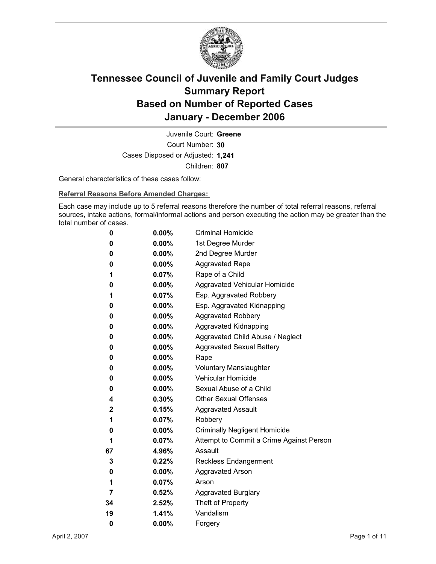

Court Number: **30** Juvenile Court: **Greene** Cases Disposed or Adjusted: **1,241** Children: **807**

General characteristics of these cases follow:

**Referral Reasons Before Amended Charges:** 

Each case may include up to 5 referral reasons therefore the number of total referral reasons, referral sources, intake actions, formal/informal actions and person executing the action may be greater than the total number of cases.

| 0  | $0.00\%$ | <b>Criminal Homicide</b>                 |  |
|----|----------|------------------------------------------|--|
| 0  | $0.00\%$ | 1st Degree Murder                        |  |
| 0  | $0.00\%$ | 2nd Degree Murder                        |  |
| 0  | $0.00\%$ | <b>Aggravated Rape</b>                   |  |
| 1  | $0.07\%$ | Rape of a Child                          |  |
| 0  | $0.00\%$ | Aggravated Vehicular Homicide            |  |
| 1  | $0.07\%$ | Esp. Aggravated Robbery                  |  |
| 0  | $0.00\%$ | Esp. Aggravated Kidnapping               |  |
| 0  | $0.00\%$ | <b>Aggravated Robbery</b>                |  |
| 0  | $0.00\%$ | <b>Aggravated Kidnapping</b>             |  |
| 0  | $0.00\%$ | Aggravated Child Abuse / Neglect         |  |
| 0  | $0.00\%$ | <b>Aggravated Sexual Battery</b>         |  |
| 0  | $0.00\%$ | Rape                                     |  |
| 0  | $0.00\%$ | <b>Voluntary Manslaughter</b>            |  |
| 0  | $0.00\%$ | <b>Vehicular Homicide</b>                |  |
| 0  | $0.00\%$ | Sexual Abuse of a Child                  |  |
| 4  | 0.30%    | <b>Other Sexual Offenses</b>             |  |
| 2  | $0.15\%$ | <b>Aggravated Assault</b>                |  |
| 1  | 0.07%    | Robbery                                  |  |
| 0  | $0.00\%$ | <b>Criminally Negligent Homicide</b>     |  |
| 1  | $0.07\%$ | Attempt to Commit a Crime Against Person |  |
| 67 | 4.96%    | Assault                                  |  |
| 3  | 0.22%    | <b>Reckless Endangerment</b>             |  |
| 0  | $0.00\%$ | <b>Aggravated Arson</b>                  |  |
| 1  | $0.07\%$ | Arson                                    |  |
| 7  | $0.52\%$ | <b>Aggravated Burglary</b>               |  |
| 34 | $2.52\%$ | Theft of Property                        |  |
| 19 | $1.41\%$ | Vandalism                                |  |
| 0  | 0.00%    | Forgery                                  |  |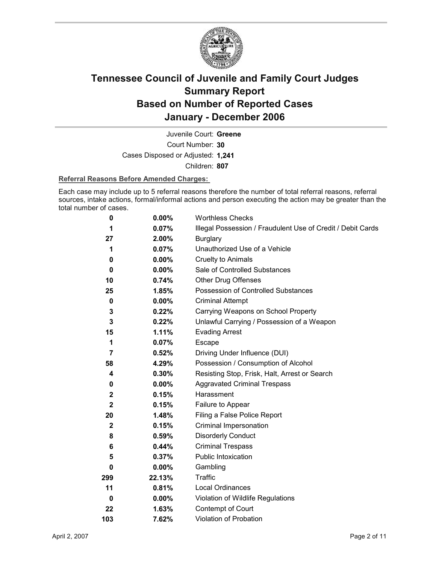

Court Number: **30** Juvenile Court: **Greene** Cases Disposed or Adjusted: **1,241** Children: **807**

### **Referral Reasons Before Amended Charges:**

Each case may include up to 5 referral reasons therefore the number of total referral reasons, referral sources, intake actions, formal/informal actions and person executing the action may be greater than the total number of cases.

| 0              | 0.00%    | <b>Worthless Checks</b>                                     |
|----------------|----------|-------------------------------------------------------------|
| 1              | 0.07%    | Illegal Possession / Fraudulent Use of Credit / Debit Cards |
| 27             | 2.00%    | <b>Burglary</b>                                             |
| 1              | 0.07%    | Unauthorized Use of a Vehicle                               |
| 0              | $0.00\%$ | <b>Cruelty to Animals</b>                                   |
| 0              | $0.00\%$ | Sale of Controlled Substances                               |
| 10             | 0.74%    | <b>Other Drug Offenses</b>                                  |
| 25             | 1.85%    | Possession of Controlled Substances                         |
| 0              | $0.00\%$ | <b>Criminal Attempt</b>                                     |
| 3              | 0.22%    | Carrying Weapons on School Property                         |
| $\mathbf{3}$   | 0.22%    | Unlawful Carrying / Possession of a Weapon                  |
| 15             | 1.11%    | <b>Evading Arrest</b>                                       |
| 1              | 0.07%    | Escape                                                      |
| $\overline{7}$ | 0.52%    | Driving Under Influence (DUI)                               |
| 58             | 4.29%    | Possession / Consumption of Alcohol                         |
| 4              | 0.30%    | Resisting Stop, Frisk, Halt, Arrest or Search               |
| 0              | $0.00\%$ | <b>Aggravated Criminal Trespass</b>                         |
| $\mathbf 2$    | 0.15%    | Harassment                                                  |
| $\mathbf{2}$   | 0.15%    | Failure to Appear                                           |
| 20             | 1.48%    | Filing a False Police Report                                |
| $\mathbf{2}$   | 0.15%    | Criminal Impersonation                                      |
| 8              | 0.59%    | <b>Disorderly Conduct</b>                                   |
| 6              | 0.44%    | <b>Criminal Trespass</b>                                    |
| 5              | 0.37%    | Public Intoxication                                         |
| 0              | $0.00\%$ | Gambling                                                    |
| 299            | 22.13%   | <b>Traffic</b>                                              |
| 11             | 0.81%    | <b>Local Ordinances</b>                                     |
| 0              | $0.00\%$ | Violation of Wildlife Regulations                           |
| 22             | 1.63%    | Contempt of Court                                           |
| 103            | 7.62%    | <b>Violation of Probation</b>                               |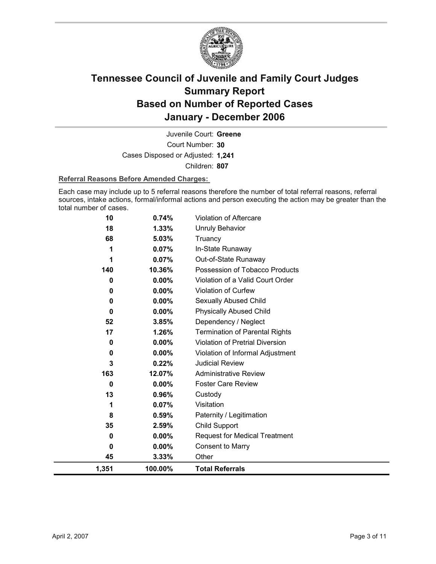

Court Number: **30** Juvenile Court: **Greene** Cases Disposed or Adjusted: **1,241** Children: **807**

### **Referral Reasons Before Amended Charges:**

Each case may include up to 5 referral reasons therefore the number of total referral reasons, referral sources, intake actions, formal/informal actions and person executing the action may be greater than the total number of cases.

| 1,351 | 100.00%  | <b>Total Referrals</b>                 |
|-------|----------|----------------------------------------|
| 45    | 3.33%    | Other                                  |
| 0     | $0.00\%$ | <b>Consent to Marry</b>                |
| 0     | $0.00\%$ | <b>Request for Medical Treatment</b>   |
| 35    | 2.59%    | Child Support                          |
| 8     | 0.59%    | Paternity / Legitimation               |
| 1     | 0.07%    | Visitation                             |
| 13    | 0.96%    | Custody                                |
| 0     | $0.00\%$ | <b>Foster Care Review</b>              |
| 163   | 12.07%   | <b>Administrative Review</b>           |
| 3     | 0.22%    | <b>Judicial Review</b>                 |
| 0     | $0.00\%$ | Violation of Informal Adjustment       |
| 0     | 0.00%    | <b>Violation of Pretrial Diversion</b> |
| 17    | 1.26%    | <b>Termination of Parental Rights</b>  |
| 52    | 3.85%    | Dependency / Neglect                   |
| 0     | 0.00%    | <b>Physically Abused Child</b>         |
| 0     | $0.00\%$ | Sexually Abused Child                  |
| 0     | $0.00\%$ | <b>Violation of Curfew</b>             |
| 0     | 0.00%    | Violation of a Valid Court Order       |
| 140   | 10.36%   | Possession of Tobacco Products         |
| 1     | 0.07%    | Out-of-State Runaway                   |
| 1     | 0.07%    | In-State Runaway                       |
| 68    | 5.03%    | Truancy                                |
| 18    | 1.33%    | <b>Unruly Behavior</b>                 |
| 10    | 0.74%    | Violation of Aftercare                 |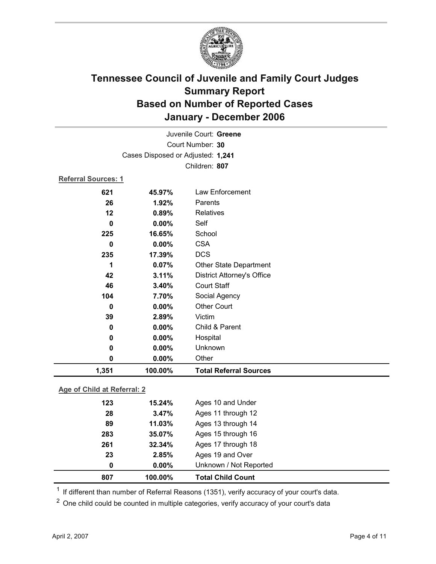

| Juvenile Court: Greene |                                   |                                   |  |  |
|------------------------|-----------------------------------|-----------------------------------|--|--|
|                        | Court Number: 30                  |                                   |  |  |
|                        | Cases Disposed or Adjusted: 1,241 |                                   |  |  |
| Children: 807          |                                   |                                   |  |  |
| Referral Sources: 1    |                                   |                                   |  |  |
| 621                    | 45.97%                            | Law Enforcement                   |  |  |
| 26                     | 1.92%                             | Parents                           |  |  |
| 12                     | 0.89%                             | Relatives                         |  |  |
| 0                      | $0.00\%$                          | Self                              |  |  |
| 225                    | 16.65%                            | School                            |  |  |
| 0                      | 0.00%                             | <b>CSA</b>                        |  |  |
| 235                    | 17.39%                            | <b>DCS</b>                        |  |  |
| 1                      | 0.07%                             | Other State Department            |  |  |
| 42                     | 3.11%                             | <b>District Attorney's Office</b> |  |  |
| 46                     | 3.40%                             | <b>Court Staff</b>                |  |  |
| 104                    | 7.70%                             | Social Agency                     |  |  |
| $\bf{0}$               | $0.00\%$                          | <b>Other Court</b>                |  |  |
| 39                     | 2.89%                             | Victim                            |  |  |
| 0                      | 0.00%                             | Child & Parent                    |  |  |
| 0                      | 0.00%                             | Hospital                          |  |  |
| 0                      | 0.00%                             | Unknown                           |  |  |
| 0                      | 0.00%                             | Other                             |  |  |
| 1,351                  | 100.00%                           | <b>Total Referral Sources</b>     |  |  |

### **Age of Child at Referral: 2**

| 2.85%<br>$0.00\%$ | Unknown / Not Reported |  |
|-------------------|------------------------|--|
|                   |                        |  |
|                   | Ages 19 and Over       |  |
| 32.34%            | Ages 17 through 18     |  |
| 35.07%            | Ages 15 through 16     |  |
| 11.03%            | Ages 13 through 14     |  |
| 3.47%             | Ages 11 through 12     |  |
|                   | Ages 10 and Under      |  |
|                   | 15.24%                 |  |

 $1$  If different than number of Referral Reasons (1351), verify accuracy of your court's data.

<sup>2</sup> One child could be counted in multiple categories, verify accuracy of your court's data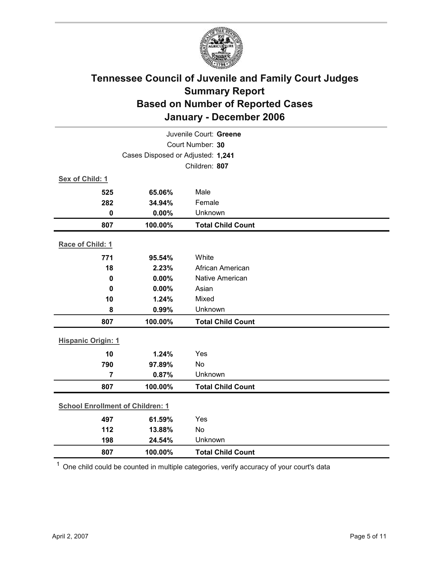

| Juvenile Court: Greene    |                                         |                           |  |  |
|---------------------------|-----------------------------------------|---------------------------|--|--|
|                           | Court Number: 30                        |                           |  |  |
|                           | Cases Disposed or Adjusted: 1,241       |                           |  |  |
|                           |                                         | Children: 807             |  |  |
| Sex of Child: 1           |                                         |                           |  |  |
| 525                       | 65.06%                                  | Male                      |  |  |
| 282                       | 34.94%                                  | Female                    |  |  |
| $\mathbf 0$               | 0.00%                                   | Unknown                   |  |  |
| 807                       | 100.00%                                 | <b>Total Child Count</b>  |  |  |
| Race of Child: 1          |                                         |                           |  |  |
|                           |                                         |                           |  |  |
| 771<br>18                 | 95.54%                                  | White<br>African American |  |  |
|                           | 2.23%                                   | Native American           |  |  |
| $\mathbf 0$<br>$\bf{0}$   | 0.00%<br>0.00%                          | Asian                     |  |  |
| 10                        | 1.24%                                   | Mixed                     |  |  |
| 8                         | 0.99%                                   | Unknown                   |  |  |
| 807                       | 100.00%                                 | <b>Total Child Count</b>  |  |  |
|                           |                                         |                           |  |  |
| <b>Hispanic Origin: 1</b> |                                         |                           |  |  |
| 10                        | 1.24%                                   | Yes                       |  |  |
| 790                       | 97.89%                                  | No                        |  |  |
| $\overline{7}$            | 0.87%                                   | Unknown                   |  |  |
| 807                       | 100.00%                                 | <b>Total Child Count</b>  |  |  |
|                           | <b>School Enrollment of Children: 1</b> |                           |  |  |
| 497                       | 61.59%                                  | Yes                       |  |  |
| 112                       | 13.88%                                  | No                        |  |  |
| 198                       | 24.54%                                  | Unknown                   |  |  |
| 807                       | 100.00%                                 | <b>Total Child Count</b>  |  |  |
|                           |                                         |                           |  |  |

 $1$  One child could be counted in multiple categories, verify accuracy of your court's data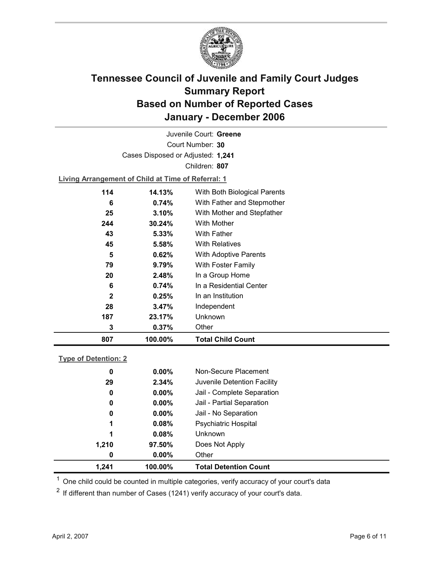

Court Number: **30** Juvenile Court: **Greene** Cases Disposed or Adjusted: **1,241** Children: **807**

**Living Arrangement of Child at Time of Referral: 1**

| 807          | 100.00% | <b>Total Child Count</b>     |
|--------------|---------|------------------------------|
| 3            | 0.37%   | Other                        |
| 187          | 23.17%  | Unknown                      |
| 28           | 3.47%   | Independent                  |
| $\mathbf{2}$ | 0.25%   | In an Institution            |
| 6            | 0.74%   | In a Residential Center      |
| 20           | 2.48%   | In a Group Home              |
| 79           | 9.79%   | With Foster Family           |
| 5            | 0.62%   | With Adoptive Parents        |
| 45           | 5.58%   | <b>With Relatives</b>        |
| 43           | 5.33%   | <b>With Father</b>           |
| 244          | 30.24%  | With Mother                  |
| 25           | 3.10%   | With Mother and Stepfather   |
| 6            | 0.74%   | With Father and Stepmother   |
| 114          | 14.13%  | With Both Biological Parents |
|              |         |                              |

### **Type of Detention: 2**

| 1.241 | 100.00%  | <b>Total Detention Count</b> |  |
|-------|----------|------------------------------|--|
| 0     | $0.00\%$ | Other                        |  |
| 1,210 | 97.50%   | Does Not Apply               |  |
| 1     | $0.08\%$ | <b>Unknown</b>               |  |
| 1     | 0.08%    | <b>Psychiatric Hospital</b>  |  |
| 0     | $0.00\%$ | Jail - No Separation         |  |
| 0     | $0.00\%$ | Jail - Partial Separation    |  |
| 0     | $0.00\%$ | Jail - Complete Separation   |  |
| 29    | 2.34%    | Juvenile Detention Facility  |  |
| 0     | $0.00\%$ | Non-Secure Placement         |  |
|       |          |                              |  |

 $<sup>1</sup>$  One child could be counted in multiple categories, verify accuracy of your court's data</sup>

 $2$  If different than number of Cases (1241) verify accuracy of your court's data.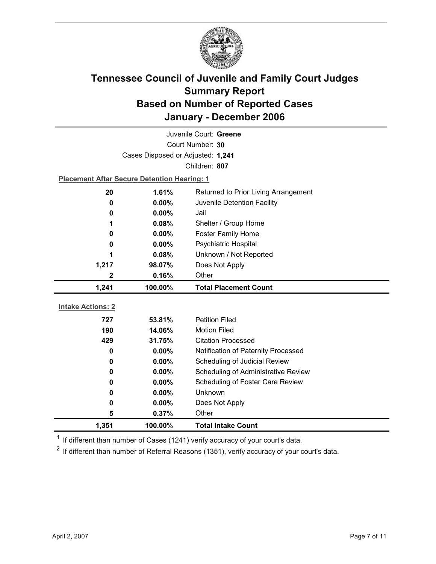

| Juvenile Court: Greene   |                                                    |                                     |  |  |
|--------------------------|----------------------------------------------------|-------------------------------------|--|--|
| Court Number: 30         |                                                    |                                     |  |  |
|                          | Cases Disposed or Adjusted: 1,241                  |                                     |  |  |
|                          |                                                    | Children: 807                       |  |  |
|                          | <b>Placement After Secure Detention Hearing: 1</b> |                                     |  |  |
| 20                       | 1.61%<br>Returned to Prior Living Arrangement      |                                     |  |  |
| 0                        | $0.00\%$<br>Juvenile Detention Facility            |                                     |  |  |
| 0                        | $0.00\%$<br>Jail                                   |                                     |  |  |
| 1                        | Shelter / Group Home<br>0.08%                      |                                     |  |  |
| 0                        | <b>Foster Family Home</b><br>$0.00\%$              |                                     |  |  |
| 0                        | Psychiatric Hospital<br>0.00%                      |                                     |  |  |
| 1                        | Unknown / Not Reported<br>0.08%                    |                                     |  |  |
| 1,217                    | Does Not Apply<br>98.07%                           |                                     |  |  |
| 2                        | 0.16%                                              | Other                               |  |  |
|                          |                                                    |                                     |  |  |
| 1,241                    | 100.00%                                            | <b>Total Placement Count</b>        |  |  |
|                          |                                                    |                                     |  |  |
| <b>Intake Actions: 2</b> |                                                    |                                     |  |  |
| 727                      | 53.81%                                             | <b>Petition Filed</b>               |  |  |
| 190                      | 14.06%                                             | <b>Motion Filed</b>                 |  |  |
| 429                      | 31.75%                                             | <b>Citation Processed</b>           |  |  |
| $\bf{0}$                 | $0.00\%$                                           | Notification of Paternity Processed |  |  |
| 0                        | 0.00%                                              | Scheduling of Judicial Review       |  |  |
| 0                        | 0.00%                                              | Scheduling of Administrative Review |  |  |
| 0                        | 0.00%                                              | Scheduling of Foster Care Review    |  |  |
| 0                        | $0.00\%$                                           | Unknown                             |  |  |
| 0<br>5                   | $0.00\%$<br>0.37%                                  | Does Not Apply<br>Other             |  |  |

 $1$  If different than number of Cases (1241) verify accuracy of your court's data.

 $2$  If different than number of Referral Reasons (1351), verify accuracy of your court's data.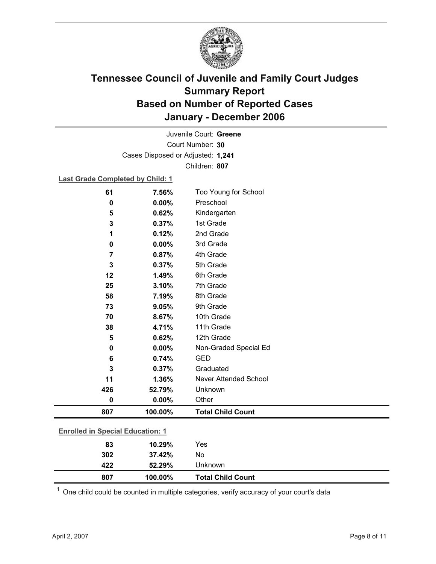

Court Number: **30** Juvenile Court: **Greene** Cases Disposed or Adjusted: **1,241** Children: **807**

### **Last Grade Completed by Child: 1**

| 61                                      | 7.56%   | Too Young for School     |
|-----------------------------------------|---------|--------------------------|
| $\mathbf 0$                             | 0.00%   | Preschool                |
| 5                                       | 0.62%   | Kindergarten             |
| 3                                       | 0.37%   | 1st Grade                |
| 1                                       | 0.12%   | 2nd Grade                |
| 0                                       | 0.00%   | 3rd Grade                |
| $\overline{7}$                          | 0.87%   | 4th Grade                |
| 3                                       | 0.37%   | 5th Grade                |
| 12                                      | 1.49%   | 6th Grade                |
| 25                                      | 3.10%   | 7th Grade                |
| 58                                      | 7.19%   | 8th Grade                |
| 73                                      | 9.05%   | 9th Grade                |
| 70                                      | 8.67%   | 10th Grade               |
| 38                                      | 4.71%   | 11th Grade               |
| 5                                       | 0.62%   | 12th Grade               |
| $\bf{0}$                                | 0.00%   | Non-Graded Special Ed    |
| 6                                       | 0.74%   | <b>GED</b>               |
| 3                                       | 0.37%   | Graduated                |
| 11                                      | 1.36%   | Never Attended School    |
| 426                                     | 52.79%  | Unknown                  |
| 0                                       | 0.00%   | Other                    |
| 807                                     | 100.00% | <b>Total Child Count</b> |
|                                         |         |                          |
| <b>Enrolled in Special Education: 1</b> |         |                          |
| 83                                      | 10.29%  | Yes                      |
| 302                                     | 37.42%  | No                       |

 $1$  One child could be counted in multiple categories, verify accuracy of your court's data

**422 52.29%** Unknown

**807 100.00% Total Child Count**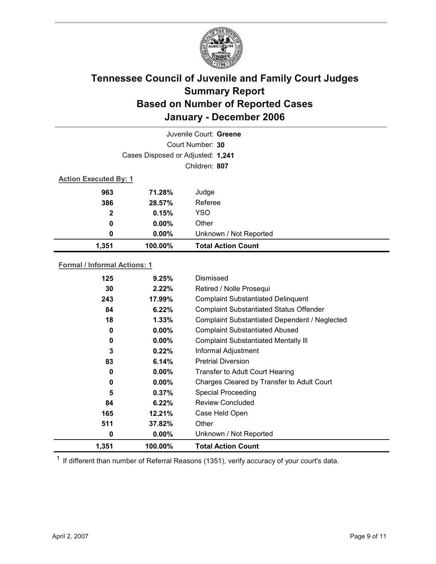

| Juvenile Court: Greene       |                                   |                           |  |  |  |
|------------------------------|-----------------------------------|---------------------------|--|--|--|
|                              | Court Number: 30                  |                           |  |  |  |
|                              | Cases Disposed or Adjusted: 1,241 |                           |  |  |  |
|                              | Children: 807                     |                           |  |  |  |
| <b>Action Executed By: 1</b> |                                   |                           |  |  |  |
| 963                          | 71.28%                            | Judge                     |  |  |  |
| 386                          | 28.57%                            | Referee                   |  |  |  |
| $\mathbf{2}$                 | 0.15%                             | <b>YSO</b>                |  |  |  |
| 0                            | $0.00\%$                          | Other                     |  |  |  |
| 0                            | $0.00\%$                          | Unknown / Not Reported    |  |  |  |
| 1,351                        | 100.00%                           | <b>Total Action Count</b> |  |  |  |

### **Formal / Informal Actions: 1**

| 125   | 9.25%    | Dismissed                                      |  |
|-------|----------|------------------------------------------------|--|
| 30    | 2.22%    | Retired / Nolle Prosequi                       |  |
| 243   | 17.99%   | <b>Complaint Substantiated Delinquent</b>      |  |
| 84    | 6.22%    | <b>Complaint Substantiated Status Offender</b> |  |
| 18    | 1.33%    | Complaint Substantiated Dependent / Neglected  |  |
| 0     | $0.00\%$ | <b>Complaint Substantiated Abused</b>          |  |
| 0     | $0.00\%$ | <b>Complaint Substantiated Mentally III</b>    |  |
| 3     | $0.22\%$ | Informal Adjustment                            |  |
| 83    | 6.14%    | <b>Pretrial Diversion</b>                      |  |
| 0     | $0.00\%$ | Transfer to Adult Court Hearing                |  |
| 0     | $0.00\%$ | Charges Cleared by Transfer to Adult Court     |  |
| 5     | 0.37%    | <b>Special Proceeding</b>                      |  |
| 84    | 6.22%    | <b>Review Concluded</b>                        |  |
| 165   | 12.21%   | Case Held Open                                 |  |
| 511   | 37.82%   | Other                                          |  |
| 0     | $0.00\%$ | Unknown / Not Reported                         |  |
| 1,351 | 100.00%  | <b>Total Action Count</b>                      |  |

 $1$  If different than number of Referral Reasons (1351), verify accuracy of your court's data.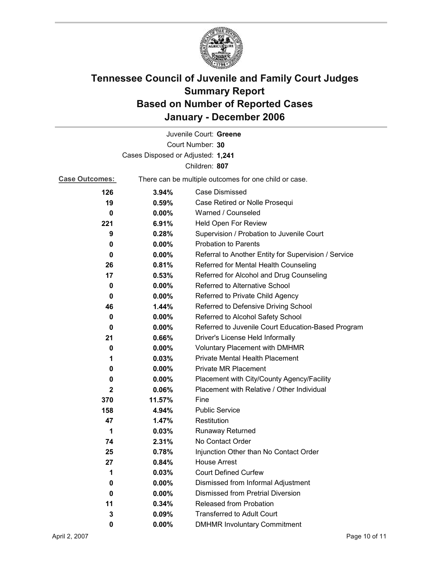

|                                   |          | Juvenile Court: Greene                                |  |
|-----------------------------------|----------|-------------------------------------------------------|--|
|                                   |          | Court Number: 30                                      |  |
| Cases Disposed or Adjusted: 1,241 |          |                                                       |  |
| Children: 807                     |          |                                                       |  |
| <b>Case Outcomes:</b>             |          | There can be multiple outcomes for one child or case. |  |
| 126                               | 3.94%    | Case Dismissed                                        |  |
| 19                                | 0.59%    | Case Retired or Nolle Prosequi                        |  |
| 0                                 | $0.00\%$ | Warned / Counseled                                    |  |
| 221                               | 6.91%    | Held Open For Review                                  |  |
| 9                                 | 0.28%    | Supervision / Probation to Juvenile Court             |  |
| 0                                 | $0.00\%$ | <b>Probation to Parents</b>                           |  |
| 0                                 | $0.00\%$ | Referral to Another Entity for Supervision / Service  |  |
| 26                                | 0.81%    | Referred for Mental Health Counseling                 |  |
| 17                                | 0.53%    | Referred for Alcohol and Drug Counseling              |  |
| 0                                 | $0.00\%$ | Referred to Alternative School                        |  |
| 0                                 | $0.00\%$ | Referred to Private Child Agency                      |  |
| 46                                | $1.44\%$ | Referred to Defensive Driving School                  |  |
| 0                                 | $0.00\%$ | Referred to Alcohol Safety School                     |  |
| 0                                 | 0.00%    | Referred to Juvenile Court Education-Based Program    |  |
| 21                                | 0.66%    | Driver's License Held Informally                      |  |
| 0                                 | 0.00%    | <b>Voluntary Placement with DMHMR</b>                 |  |
| 1                                 | 0.03%    | <b>Private Mental Health Placement</b>                |  |
| 0                                 | $0.00\%$ | <b>Private MR Placement</b>                           |  |
| 0                                 | $0.00\%$ | Placement with City/County Agency/Facility            |  |
| $\mathbf{2}$                      | 0.06%    | Placement with Relative / Other Individual            |  |
| 370                               | 11.57%   | Fine                                                  |  |
| 158                               | 4.94%    | <b>Public Service</b>                                 |  |
| 47                                | 1.47%    | Restitution                                           |  |
| 1                                 | 0.03%    | Runaway Returned                                      |  |
| 74                                | 2.31%    | No Contact Order                                      |  |
| 25                                | 0.78%    | Injunction Other than No Contact Order                |  |
| 27                                | 0.84%    | <b>House Arrest</b>                                   |  |
| 1                                 | 0.03%    | <b>Court Defined Curfew</b>                           |  |
| 0                                 | $0.00\%$ | Dismissed from Informal Adjustment                    |  |
| 0                                 | $0.00\%$ | <b>Dismissed from Pretrial Diversion</b>              |  |
| 11                                | 0.34%    | Released from Probation                               |  |
| 3                                 | 0.09%    | <b>Transferred to Adult Court</b>                     |  |
| 0                                 | $0.00\%$ | <b>DMHMR Involuntary Commitment</b>                   |  |